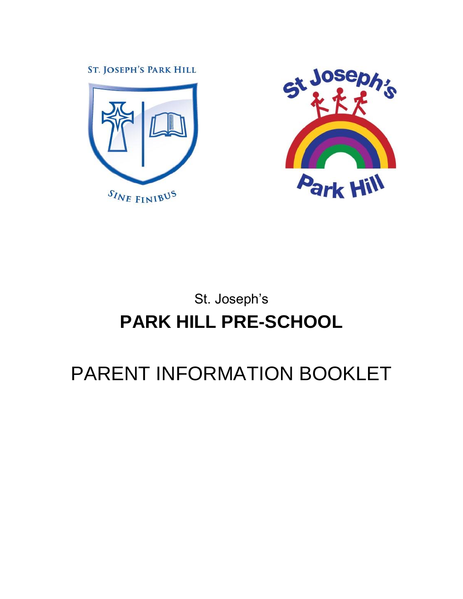**ST. JOSEPH'S PARK HILL** 





# St. Joseph's **PARK HILL PRE-SCHOOL**

# PARENT INFORMATION BOOKLET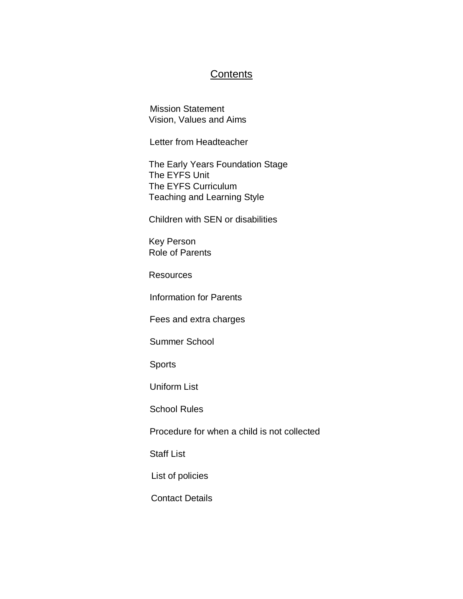## **Contents**

Mission Statement Vision, Values and Aims

Letter from Headteacher

 The Early Years Foundation Stage The EYFS Unit The EYFS Curriculum Teaching and Learning Style

Children with SEN or disabilities

 Key Person Role of Parents

**Resources** 

Information for Parents

Fees and extra charges

Summer School

Sports

Uniform List

School Rules

Procedure for when a child is not collected

Staff List

List of policies

Contact Details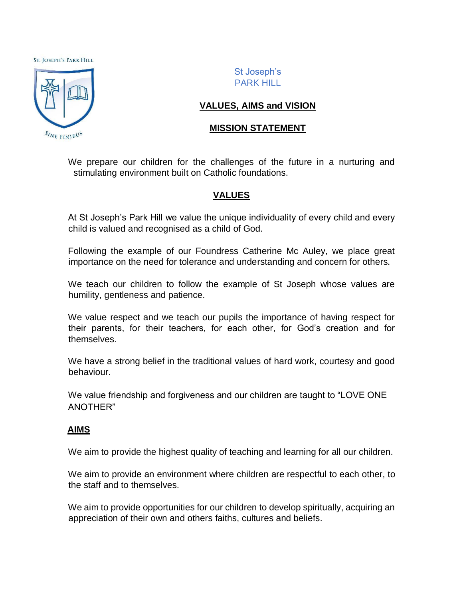#### **ST. JOSEPH'S PARK HILL**



St Joseph's PARK HILL

## **VALUES, AIMS and VISION**

## **MISSION STATEMENT**

We prepare our children for the challenges of the future in a nurturing and stimulating environment built on Catholic foundations.

## **VALUES**

At St Joseph's Park Hill we value the unique individuality of every child and every child is valued and recognised as a child of God.

Following the example of our Foundress Catherine Mc Auley, we place great importance on the need for tolerance and understanding and concern for others.

We teach our children to follow the example of St Joseph whose values are humility, gentleness and patience.

We value respect and we teach our pupils the importance of having respect for their parents, for their teachers, for each other, for God's creation and for themselves.

We have a strong belief in the traditional values of hard work, courtesy and good behaviour.

We value friendship and forgiveness and our children are taught to "LOVE ONE ANOTHER"

### **AIMS**

We aim to provide the highest quality of teaching and learning for all our children.

We aim to provide an environment where children are respectful to each other, to the staff and to themselves.

We aim to provide opportunities for our children to develop spiritually, acquiring an appreciation of their own and others faiths, cultures and beliefs.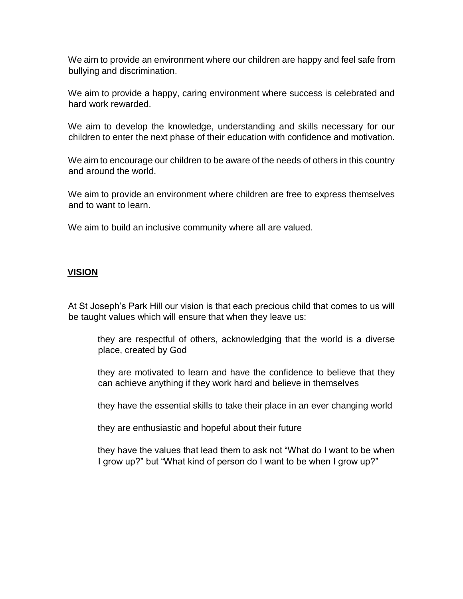We aim to provide an environment where our children are happy and feel safe from bullying and discrimination.

We aim to provide a happy, caring environment where success is celebrated and hard work rewarded.

We aim to develop the knowledge, understanding and skills necessary for our children to enter the next phase of their education with confidence and motivation.

We aim to encourage our children to be aware of the needs of others in this country and around the world.

We aim to provide an environment where children are free to express themselves and to want to learn.

We aim to build an inclusive community where all are valued.

#### **VISION**

At St Joseph's Park Hill our vision is that each precious child that comes to us will be taught values which will ensure that when they leave us:

they are respectful of others, acknowledging that the world is a diverse place, created by God

they are motivated to learn and have the confidence to believe that they can achieve anything if they work hard and believe in themselves

they have the essential skills to take their place in an ever changing world

they are enthusiastic and hopeful about their future

they have the values that lead them to ask not "What do I want to be when I grow up?" but "What kind of person do I want to be when I grow up?"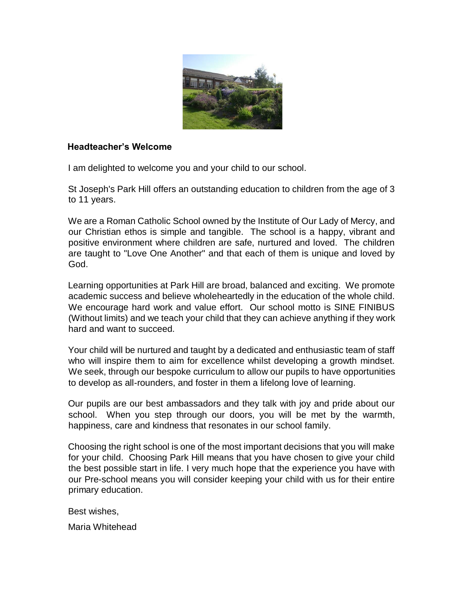

## **Headteacher's Welcome**

I am delighted to welcome you and your child to our school.

St Joseph's Park Hill offers an outstanding education to children from the age of 3 to 11 years.

We are a Roman Catholic School owned by the Institute of Our Lady of Mercy, and our Christian ethos is simple and tangible. The school is a happy, vibrant and positive environment where children are safe, nurtured and loved. The children are taught to "Love One Another" and that each of them is unique and loved by God.

Learning opportunities at Park Hill are broad, balanced and exciting. We promote academic success and believe wholeheartedly in the education of the whole child. We encourage hard work and value effort. Our school motto is SINE FINIBUS (Without limits) and we teach your child that they can achieve anything if they work hard and want to succeed.

Your child will be nurtured and taught by a dedicated and enthusiastic team of staff who will inspire them to aim for excellence whilst developing a growth mindset. We seek, through our bespoke curriculum to allow our pupils to have opportunities to develop as all-rounders, and foster in them a lifelong love of learning.

Our pupils are our best ambassadors and they talk with joy and pride about our school. When you step through our doors, you will be met by the warmth, happiness, care and kindness that resonates in our school family.

Choosing the right school is one of the most important decisions that you will make for your child. Choosing Park Hill means that you have chosen to give your child the best possible start in life. I very much hope that the experience you have with our Pre-school means you will consider keeping your child with us for their entire primary education.

Best wishes,

Maria Whitehead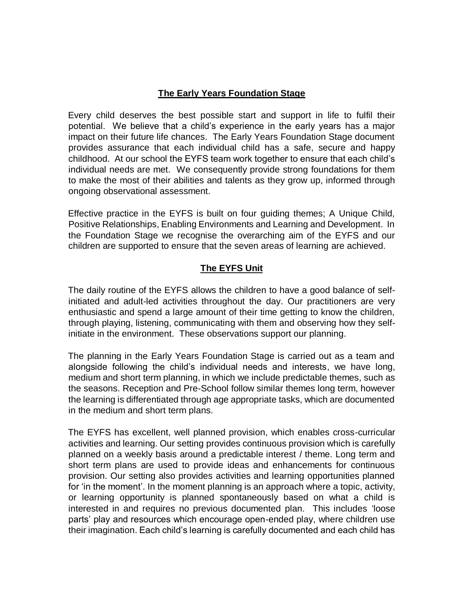## **The Early Years Foundation Stage**

Every child deserves the best possible start and support in life to fulfil their potential. We believe that a child's experience in the early years has a major impact on their future life chances. The Early Years Foundation Stage document provides assurance that each individual child has a safe, secure and happy childhood. At our school the EYFS team work together to ensure that each child's individual needs are met. We consequently provide strong foundations for them to make the most of their abilities and talents as they grow up, informed through ongoing observational assessment.

Effective practice in the EYFS is built on four guiding themes; A Unique Child, Positive Relationships, Enabling Environments and Learning and Development. In the Foundation Stage we recognise the overarching aim of the EYFS and our children are supported to ensure that the seven areas of learning are achieved.

## **The EYFS Unit**

The daily routine of the EYFS allows the children to have a good balance of selfinitiated and adult-led activities throughout the day. Our practitioners are very enthusiastic and spend a large amount of their time getting to know the children, through playing, listening, communicating with them and observing how they selfinitiate in the environment. These observations support our planning.

The planning in the Early Years Foundation Stage is carried out as a team and alongside following the child's individual needs and interests, we have long, medium and short term planning, in which we include predictable themes, such as the seasons. Reception and Pre-School follow similar themes long term, however the learning is differentiated through age appropriate tasks, which are documented in the medium and short term plans.

The EYFS has excellent, well planned provision, which enables cross-curricular activities and learning. Our setting provides continuous provision which is carefully planned on a weekly basis around a predictable interest / theme. Long term and short term plans are used to provide ideas and enhancements for continuous provision. Our setting also provides activities and learning opportunities planned for 'in the moment'. In the moment planning is an approach where a topic, activity, or learning opportunity is planned spontaneously based on what a child is interested in and requires no previous documented plan. This includes 'loose parts' play and resources which encourage open-ended play, where children use their imagination. Each child's learning is carefully documented and each child has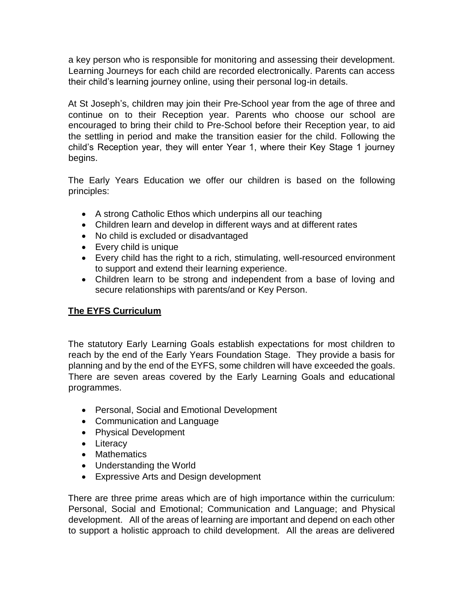a key person who is responsible for monitoring and assessing their development. Learning Journeys for each child are recorded electronically. Parents can access their child's learning journey online, using their personal log-in details.

At St Joseph's, children may join their Pre-School year from the age of three and continue on to their Reception year. Parents who choose our school are encouraged to bring their child to Pre-School before their Reception year, to aid the settling in period and make the transition easier for the child. Following the child's Reception year, they will enter Year 1, where their Key Stage 1 journey begins.

The Early Years Education we offer our children is based on the following principles:

- A strong Catholic Ethos which underpins all our teaching
- Children learn and develop in different ways and at different rates
- No child is excluded or disadvantaged
- Every child is unique
- Every child has the right to a rich, stimulating, well-resourced environment to support and extend their learning experience.
- Children learn to be strong and independent from a base of loving and secure relationships with parents/and or Key Person.

## **The EYFS Curriculum**

The statutory Early Learning Goals establish expectations for most children to reach by the end of the Early Years Foundation Stage. They provide a basis for planning and by the end of the EYFS, some children will have exceeded the goals. There are seven areas covered by the Early Learning Goals and educational programmes.

- Personal, Social and Emotional Development
- Communication and Language
- Physical Development
- Literacy
- Mathematics
- Understanding the World
- Expressive Arts and Design development

There are three prime areas which are of high importance within the curriculum: Personal, Social and Emotional; Communication and Language; and Physical development. All of the areas of learning are important and depend on each other to support a holistic approach to child development. All the areas are delivered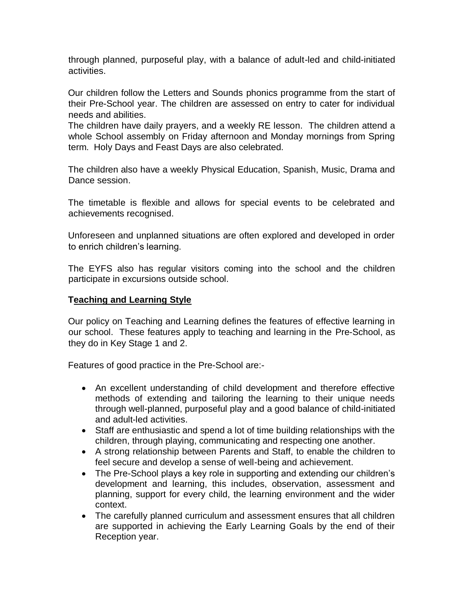through planned, purposeful play, with a balance of adult-led and child-initiated activities.

Our children follow the Letters and Sounds phonics programme from the start of their Pre-School year. The children are assessed on entry to cater for individual needs and abilities.

The children have daily prayers, and a weekly RE lesson. The children attend a whole School assembly on Friday afternoon and Monday mornings from Spring term. Holy Days and Feast Days are also celebrated.

The children also have a weekly Physical Education, Spanish, Music, Drama and Dance session.

The timetable is flexible and allows for special events to be celebrated and achievements recognised.

Unforeseen and unplanned situations are often explored and developed in order to enrich children's learning.

The EYFS also has regular visitors coming into the school and the children participate in excursions outside school.

## **Teaching and Learning Style**

Our policy on Teaching and Learning defines the features of effective learning in our school. These features apply to teaching and learning in the Pre-School, as they do in Key Stage 1 and 2.

Features of good practice in the Pre-School are:-

- An excellent understanding of child development and therefore effective methods of extending and tailoring the learning to their unique needs through well-planned, purposeful play and a good balance of child-initiated and adult-led activities.
- Staff are enthusiastic and spend a lot of time building relationships with the children, through playing, communicating and respecting one another.
- A strong relationship between Parents and Staff, to enable the children to feel secure and develop a sense of well-being and achievement.
- The Pre-School plays a key role in supporting and extending our children's development and learning, this includes, observation, assessment and planning, support for every child, the learning environment and the wider context.
- The carefully planned curriculum and assessment ensures that all children are supported in achieving the Early Learning Goals by the end of their Reception year.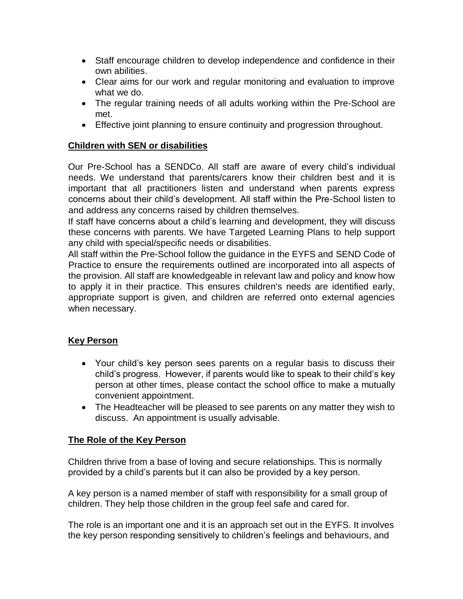- Staff encourage children to develop independence and confidence in their own abilities.
- Clear aims for our work and regular monitoring and evaluation to improve what we do.
- The regular training needs of all adults working within the Pre-School are met.
- Effective joint planning to ensure continuity and progression throughout.

## **Children with SEN or disabilities**

Our Pre-School has a SENDCo. All staff are aware of every child's individual needs. We understand that parents/carers know their children best and it is important that all practitioners listen and understand when parents express concerns about their child's development. All staff within the Pre-School listen to and address any concerns raised by children themselves.

If staff have concerns about a child's learning and development, they will discuss these concerns with parents. We have Targeted Learning Plans to help support any child with special/specific needs or disabilities.

All staff within the Pre-School follow the guidance in the EYFS and SEND Code of Practice to ensure the requirements outlined are incorporated into all aspects of the provision. All staff are knowledgeable in relevant law and policy and know how to apply it in their practice. This ensures children's needs are identified early, appropriate support is given, and children are referred onto external agencies when necessary.

## **Key Person**

- Your child's key person sees parents on a regular basis to discuss their child's progress. However, if parents would like to speak to their child's key person at other times, please contact the school office to make a mutually convenient appointment.
- The Headteacher will be pleased to see parents on any matter they wish to discuss. An appointment is usually advisable.

## **The Role of the Key Person**

Children thrive from a base of loving and secure relationships. This is normally provided by a child's parents but it can also be provided by a key person.

A key person is a named member of staff with responsibility for a small group of children. They help those children in the group feel safe and cared for.

The role is an important one and it is an approach set out in the EYFS. It involves the key person responding sensitively to children's feelings and behaviours, and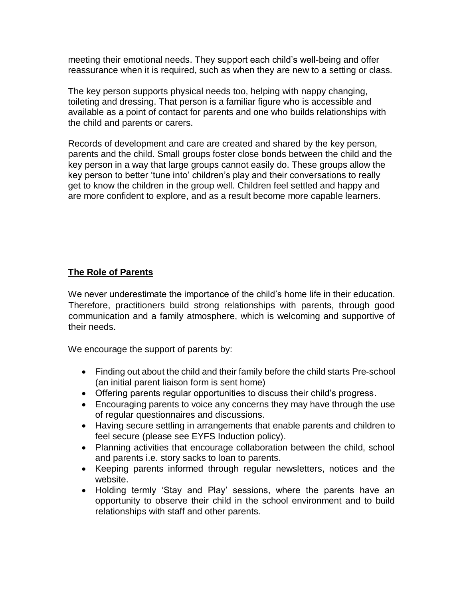meeting their emotional needs. They support each child's well-being and offer reassurance when it is required, such as when they are new to a setting or class.

The key person supports physical needs too, helping with nappy changing, toileting and dressing. That person is a familiar figure who is accessible and available as a point of contact for parents and one who builds relationships with the child and parents or carers.

Records of development and care are created and shared by the key person, parents and the child. Small groups foster close bonds between the child and the key person in a way that large groups cannot easily do. These groups allow the key person to better 'tune into' children's play and their conversations to really get to know the children in the group well. Children feel settled and happy and are more confident to explore, and as a result become more capable learners.

## **The Role of Parents**

We never underestimate the importance of the child's home life in their education. Therefore, practitioners build strong relationships with parents, through good communication and a family atmosphere, which is welcoming and supportive of their needs.

We encourage the support of parents by:

- Finding out about the child and their family before the child starts Pre-school (an initial parent liaison form is sent home)
- Offering parents regular opportunities to discuss their child's progress.
- Encouraging parents to voice any concerns they may have through the use of regular questionnaires and discussions.
- Having secure settling in arrangements that enable parents and children to feel secure (please see EYFS Induction policy).
- Planning activities that encourage collaboration between the child, school and parents i.e. story sacks to loan to parents.
- Keeping parents informed through regular newsletters, notices and the website.
- Holding termly 'Stay and Play' sessions, where the parents have an opportunity to observe their child in the school environment and to build relationships with staff and other parents.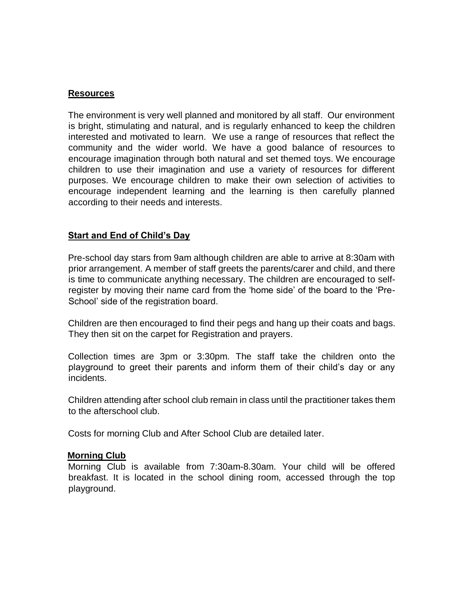### **Resources**

The environment is very well planned and monitored by all staff. Our environment is bright, stimulating and natural, and is regularly enhanced to keep the children interested and motivated to learn. We use a range of resources that reflect the community and the wider world. We have a good balance of resources to encourage imagination through both natural and set themed toys. We encourage children to use their imagination and use a variety of resources for different purposes. We encourage children to make their own selection of activities to encourage independent learning and the learning is then carefully planned according to their needs and interests.

## **Start and End of Child's Day**

Pre-school day stars from 9am although children are able to arrive at 8:30am with prior arrangement. A member of staff greets the parents/carer and child, and there is time to communicate anything necessary. The children are encouraged to selfregister by moving their name card from the 'home side' of the board to the 'Pre-School' side of the registration board.

Children are then encouraged to find their pegs and hang up their coats and bags. They then sit on the carpet for Registration and prayers.

Collection times are 3pm or 3:30pm. The staff take the children onto the playground to greet their parents and inform them of their child's day or any incidents.

Children attending after school club remain in class until the practitioner takes them to the afterschool club.

Costs for morning Club and After School Club are detailed later.

### **Morning Club**

Morning Club is available from 7:30am-8.30am. Your child will be offered breakfast. It is located in the school dining room, accessed through the top playground.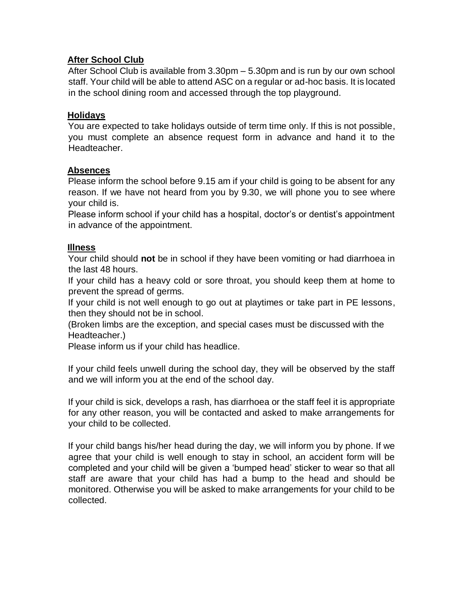## **After School Club**

After School Club is available from 3.30pm – 5.30pm and is run by our own school staff. Your child will be able to attend ASC on a regular or ad-hoc basis. It is located in the school dining room and accessed through the top playground.

#### **Holidays**

You are expected to take holidays outside of term time only. If this is not possible, you must complete an absence request form in advance and hand it to the Headteacher.

#### **Absences**

Please inform the school before 9.15 am if your child is going to be absent for any reason. If we have not heard from you by 9.30, we will phone you to see where your child is.

Please inform school if your child has a hospital, doctor's or dentist's appointment in advance of the appointment.

#### **Illness**

Your child should **not** be in school if they have been vomiting or had diarrhoea in the last 48 hours.

If your child has a heavy cold or sore throat, you should keep them at home to prevent the spread of germs.

If your child is not well enough to go out at playtimes or take part in PE lessons, then they should not be in school.

(Broken limbs are the exception, and special cases must be discussed with the Headteacher.)

Please inform us if your child has headlice.

If your child feels unwell during the school day, they will be observed by the staff and we will inform you at the end of the school day.

If your child is sick, develops a rash, has diarrhoea or the staff feel it is appropriate for any other reason, you will be contacted and asked to make arrangements for your child to be collected.

If your child bangs his/her head during the day, we will inform you by phone. If we agree that your child is well enough to stay in school, an accident form will be completed and your child will be given a 'bumped head' sticker to wear so that all staff are aware that your child has had a bump to the head and should be monitored. Otherwise you will be asked to make arrangements for your child to be collected.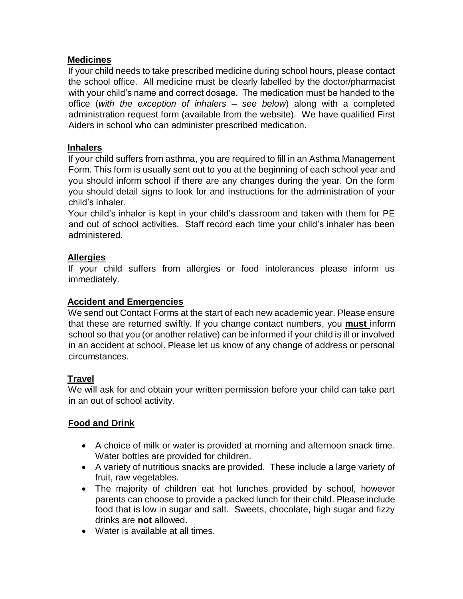## **Medicines**

If your child needs to take prescribed medicine during school hours, please contact the school office. All medicine must be clearly labelled by the doctor/pharmacist with your child's name and correct dosage. The medication must be handed to the office (*with the exception of inhalers – see below*) along with a completed administration request form (available from the website). We have qualified First Aiders in school who can administer prescribed medication.

## **Inhalers**

If your child suffers from asthma, you are required to fill in an Asthma Management Form. This form is usually sent out to you at the beginning of each school year and you should inform school if there are any changes during the year. On the form you should detail signs to look for and instructions for the administration of your child's inhaler.

Your child's inhaler is kept in your child's classroom and taken with them for PE and out of school activities. Staff record each time your child's inhaler has been administered.

## **Allergies**

If your child suffers from allergies or food intolerances please inform us immediately.

## **Accident and Emergencies**

We send out Contact Forms at the start of each new academic year. Please ensure that these are returned swiftly. If you change contact numbers, you **must** inform school so that you (or another relative) can be informed if your child is ill or involved in an accident at school. Please let us know of any change of address or personal circumstances.

## **Travel**

We will ask for and obtain your written permission before your child can take part in an out of school activity.

## **Food and Drink**

- A choice of milk or water is provided at morning and afternoon snack time. Water bottles are provided for children.
- A variety of nutritious snacks are provided. These include a large variety of fruit, raw vegetables.
- The majority of children eat hot lunches provided by school, however parents can choose to provide a packed lunch for their child. Please include food that is low in sugar and salt. Sweets, chocolate, high sugar and fizzy drinks are **not** allowed.
- Water is available at all times.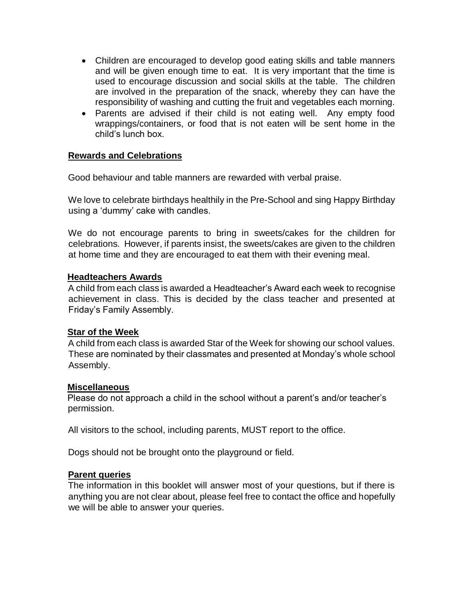- Children are encouraged to develop good eating skills and table manners and will be given enough time to eat. It is very important that the time is used to encourage discussion and social skills at the table. The children are involved in the preparation of the snack, whereby they can have the responsibility of washing and cutting the fruit and vegetables each morning.
- Parents are advised if their child is not eating well. Any empty food wrappings/containers, or food that is not eaten will be sent home in the child's lunch box.

## **Rewards and Celebrations**

Good behaviour and table manners are rewarded with verbal praise.

We love to celebrate birthdays healthily in the Pre-School and sing Happy Birthday using a 'dummy' cake with candles.

We do not encourage parents to bring in sweets/cakes for the children for celebrations. However, if parents insist, the sweets/cakes are given to the children at home time and they are encouraged to eat them with their evening meal.

### **Headteachers Awards**

A child from each class is awarded a Headteacher's Award each week to recognise achievement in class. This is decided by the class teacher and presented at Friday's Family Assembly.

### **Star of the Week**

A child from each class is awarded Star of the Week for showing our school values. These are nominated by their classmates and presented at Monday's whole school Assembly.

### **Miscellaneous**

Please do not approach a child in the school without a parent's and/or teacher's permission.

All visitors to the school, including parents, MUST report to the office.

Dogs should not be brought onto the playground or field.

### **Parent queries**

The information in this booklet will answer most of your questions, but if there is anything you are not clear about, please feel free to contact the office and hopefully we will be able to answer your queries.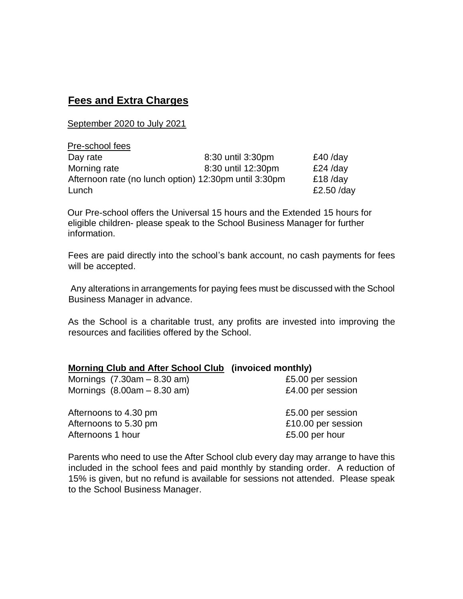## **Fees and Extra Charges**

September 2020 to July 2021

| Pre-school fees                                       |                    |            |
|-------------------------------------------------------|--------------------|------------|
| Day rate                                              | 8:30 until 3:30pm  | $£40$ /day |
| Morning rate                                          | 8:30 until 12:30pm | $£24$ /day |
| Afternoon rate (no lunch option) 12:30pm until 3:30pm | $£18$ /day         |            |
| Lunch                                                 |                    | £2.50 /day |

Our Pre-school offers the Universal 15 hours and the Extended 15 hours for eligible children- please speak to the School Business Manager for further information.

Fees are paid directly into the school's bank account, no cash payments for fees will be accepted.

Any alterations in arrangements for paying fees must be discussed with the School Business Manager in advance.

As the School is a charitable trust, any profits are invested into improving the resources and facilities offered by the School.

|  |  |  | <b>Morning Club and After School Club</b> (invoiced monthly) |  |  |  |
|--|--|--|--------------------------------------------------------------|--|--|--|
|--|--|--|--------------------------------------------------------------|--|--|--|

| Mornings $(7.30am - 8.30am)$ |
|------------------------------|
| Mornings $(8.00am - 8.30am)$ |

£5.00 per session £4.00 per session

Afternoons to 4.30 pm **E5.00** per session Afternoons to 5.30 pm  $£10.00$  per session Afternoons 1 hour **E5.00** per hour

Parents who need to use the After School club every day may arrange to have this included in the school fees and paid monthly by standing order. A reduction of 15% is given, but no refund is available for sessions not attended. Please speak to the School Business Manager.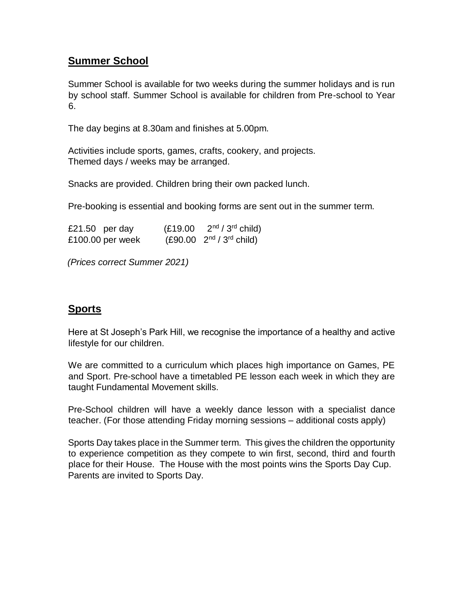## **Summer School**

Summer School is available for two weeks during the summer holidays and is run by school staff. Summer School is available for children from Pre-school to Year 6.

The day begins at 8.30am and finishes at 5.00pm.

Activities include sports, games, crafts, cookery, and projects. Themed days / weeks may be arranged.

Snacks are provided. Children bring their own packed lunch.

Pre-booking is essential and booking forms are sent out in the summer term.

| £21.50 per day   | (E19.00) | $2nd / 3rd$ child)            |
|------------------|----------|-------------------------------|
| £100.00 per week |          | $(E90.00 \t 2nd / 3rd child)$ |

*(Prices correct Summer 2021)* 

## **Sports**

Here at St Joseph's Park Hill, we recognise the importance of a healthy and active lifestyle for our children.

We are committed to a curriculum which places high importance on Games, PE and Sport. Pre-school have a timetabled PE lesson each week in which they are taught Fundamental Movement skills.

Pre-School children will have a weekly dance lesson with a specialist dance teacher. (For those attending Friday morning sessions – additional costs apply)

Sports Day takes place in the Summer term. This gives the children the opportunity to experience competition as they compete to win first, second, third and fourth place for their House. The House with the most points wins the Sports Day Cup. Parents are invited to Sports Day.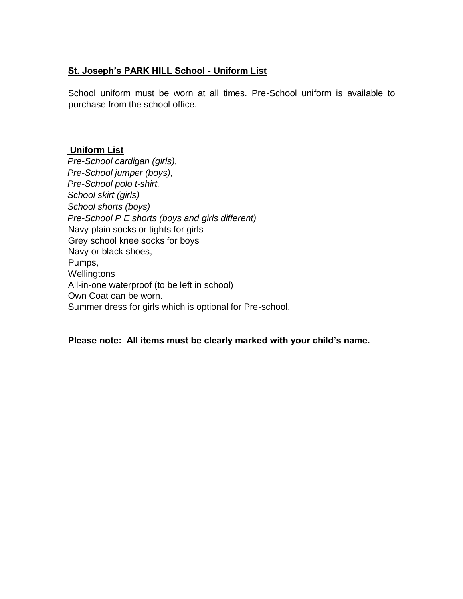## **St. Joseph's PARK HILL School - Uniform List**

School uniform must be worn at all times. Pre-School uniform is available to purchase from the school office.

### **Uniform List**

*Pre-School cardigan (girls), Pre-School jumper (boys), Pre-School polo t-shirt, School skirt (girls) School shorts (boys) Pre-School P E shorts (boys and girls different)*  Navy plain socks or tights for girls Grey school knee socks for boys Navy or black shoes, Pumps, **Wellingtons** All-in-one waterproof (to be left in school) Own Coat can be worn. Summer dress for girls which is optional for Pre-school.

### **Please note: All items must be clearly marked with your child's name.**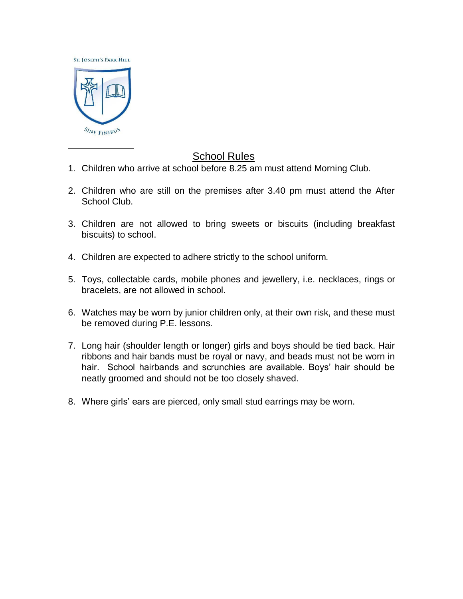**ST. JOSEPH'S PARK HILL** 



## School Rules

- 1. Children who arrive at school before 8.25 am must attend Morning Club.
- 2. Children who are still on the premises after 3.40 pm must attend the After School Club.
- 3. Children are not allowed to bring sweets or biscuits (including breakfast biscuits) to school.
- 4. Children are expected to adhere strictly to the school uniform.
- 5. Toys, collectable cards, mobile phones and jewellery, i.e. necklaces, rings or bracelets, are not allowed in school.
- 6. Watches may be worn by junior children only, at their own risk, and these must be removed during P.E. lessons.
- 7. Long hair (shoulder length or longer) girls and boys should be tied back. Hair ribbons and hair bands must be royal or navy, and beads must not be worn in hair. School hairbands and scrunchies are available. Boys' hair should be neatly groomed and should not be too closely shaved.
- 8. Where girls' ears are pierced, only small stud earrings may be worn.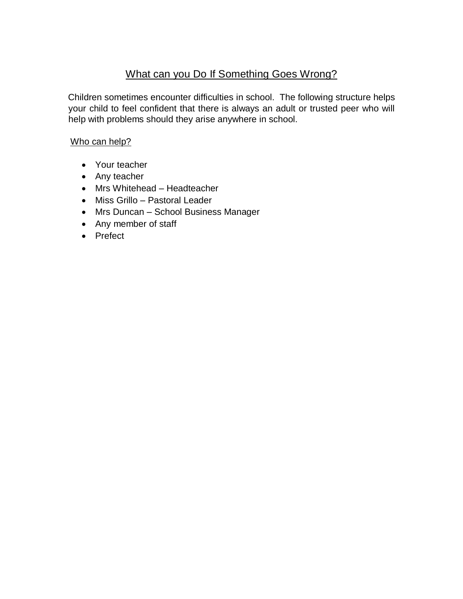## What can you Do If Something Goes Wrong?

Children sometimes encounter difficulties in school. The following structure helps your child to feel confident that there is always an adult or trusted peer who will help with problems should they arise anywhere in school.

## Who can help?

- Your teacher
- Any teacher
- Mrs Whitehead Headteacher
- Miss Grillo Pastoral Leader
- Mrs Duncan School Business Manager
- Any member of staff
- Prefect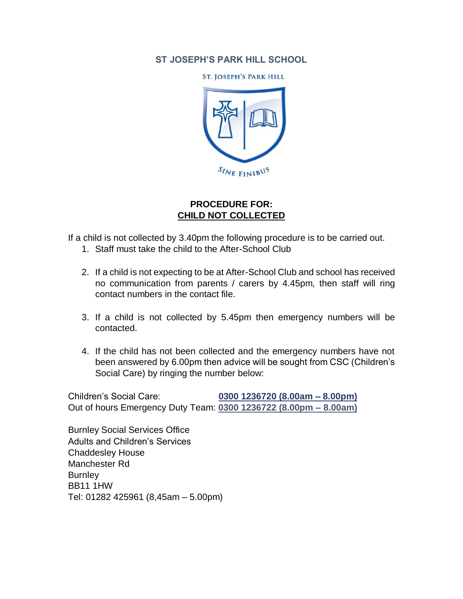## **ST JOSEPH'S PARK HILL SCHOOL**

**ST. JOSEPH'S PARK HILL** 



## **PROCEDURE FOR: CHILD NOT COLLECTED**

If a child is not collected by 3.40pm the following procedure is to be carried out.

- 1. Staff must take the child to the After-School Club
- 2. If a child is not expecting to be at After-School Club and school has received no communication from parents / carers by 4.45pm, then staff will ring contact numbers in the contact file.
- 3. If a child is not collected by 5.45pm then emergency numbers will be contacted.
- 4. If the child has not been collected and the emergency numbers have not been answered by 6.00pm then advice will be sought from CSC (Children's Social Care) by ringing the number below:

Children's Social Care: **0300 1236720 (8.00am – 8.00pm)** Out of hours Emergency Duty Team: **0300 1236722 (8.00pm – 8.00am)**

Burnley Social Services Office Adults and Children's Services Chaddesley House Manchester Rd **Burnley** BB11 1HW Tel: 01282 425961 (8,45am – 5.00pm)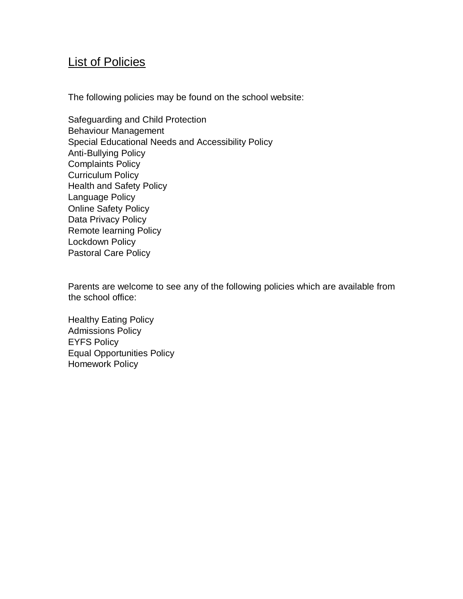## **List of Policies**

The following policies may be found on the school website:

Safeguarding and Child Protection Behaviour Management Special Educational Needs and Accessibility Policy Anti-Bullying Policy Complaints Policy Curriculum Policy Health and Safety Policy Language Policy Online Safety Policy Data Privacy Policy Remote learning Policy Lockdown Policy Pastoral Care Policy

Parents are welcome to see any of the following policies which are available from the school office:

Healthy Eating Policy Admissions Policy EYFS Policy Equal Opportunities Policy Homework Policy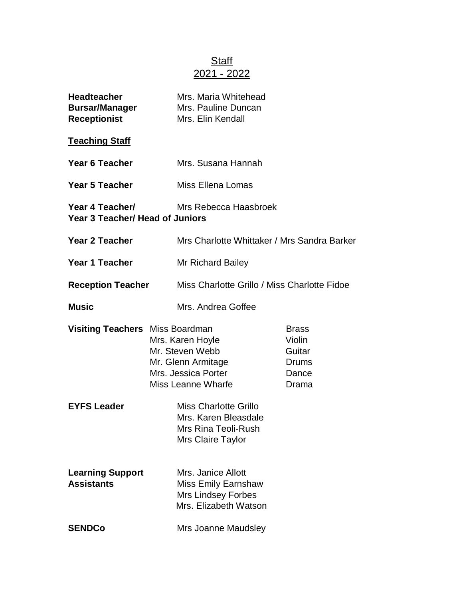## Staff 2021 - 2022

| <b>Headteacher</b><br><b>Bursar/Manager</b><br><b>Receptionist</b> |  | Mrs. Maria Whitehead<br>Mrs. Pauline Duncan<br>Mrs. Elin Kendall                                              |                                                             |  |
|--------------------------------------------------------------------|--|---------------------------------------------------------------------------------------------------------------|-------------------------------------------------------------|--|
| <b>Teaching Staff</b>                                              |  |                                                                                                               |                                                             |  |
| Year 6 Teacher                                                     |  | Mrs. Susana Hannah                                                                                            |                                                             |  |
| <b>Year 5 Teacher</b>                                              |  | Miss Ellena Lomas                                                                                             |                                                             |  |
| Year 4 Teacher/<br><b>Year 3 Teacher/ Head of Juniors</b>          |  | Mrs Rebecca Haasbroek                                                                                         |                                                             |  |
| <b>Year 2 Teacher</b>                                              |  | Mrs Charlotte Whittaker / Mrs Sandra Barker                                                                   |                                                             |  |
| Year 1 Teacher                                                     |  | Mr Richard Bailey                                                                                             |                                                             |  |
| <b>Reception Teacher</b>                                           |  | Miss Charlotte Grillo / Miss Charlotte Fidoe                                                                  |                                                             |  |
| <b>Music</b>                                                       |  | Mrs. Andrea Goffee                                                                                            |                                                             |  |
| <b>Visiting Teachers</b> Miss Boardman                             |  | Mrs. Karen Hoyle<br>Mr. Steven Webb<br>Mr. Glenn Armitage<br>Mrs. Jessica Porter<br><b>Miss Leanne Wharfe</b> | <b>Brass</b><br>Violin<br>Guitar<br>Drums<br>Dance<br>Drama |  |
| <b>EYFS Leader</b>                                                 |  | <b>Miss Charlotte Grillo</b><br>Mrs. Karen Bleasdale<br>Mrs Rina Teoli-Rush<br>Mrs Claire Taylor              |                                                             |  |
| <b>Learning Support</b><br><b>Assistants</b>                       |  | Mrs. Janice Allott<br><b>Miss Emily Earnshaw</b><br><b>Mrs Lindsey Forbes</b><br>Mrs. Elizabeth Watson        |                                                             |  |
| <b>SENDCo</b>                                                      |  | Mrs Joanne Maudsley                                                                                           |                                                             |  |
|                                                                    |  |                                                                                                               |                                                             |  |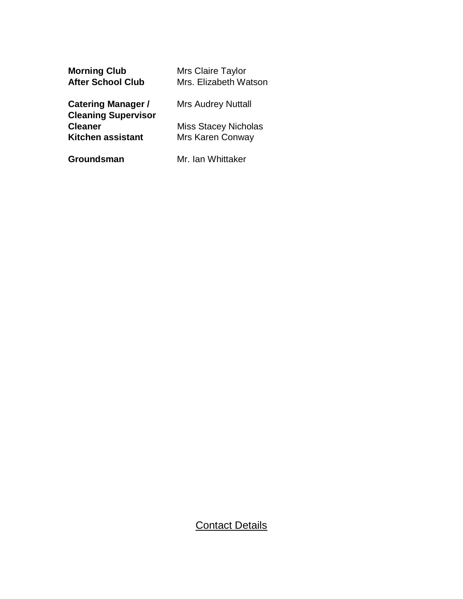| <b>Morning Club</b>        | Mrs Claire Taylor           |
|----------------------------|-----------------------------|
| <b>After School Club</b>   | Mrs. Elizabeth Watson       |
| <b>Catering Manager /</b>  | <b>Mrs Audrey Nuttall</b>   |
| <b>Cleaning Supervisor</b> |                             |
| <b>Cleaner</b>             | <b>Miss Stacey Nicholas</b> |
| <b>Kitchen assistant</b>   | <b>Mrs Karen Conway</b>     |
|                            |                             |

**Groundsman** Mr. Ian Whittaker

## **Contact Details**